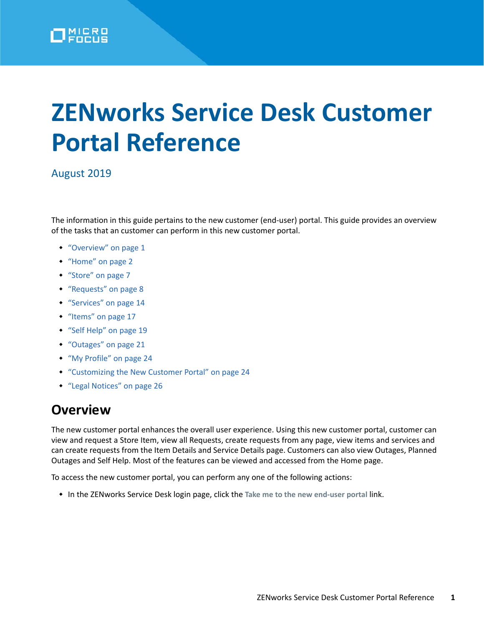

# **ZENworks Service Desk Customer Portal Reference**

### August 2019

The information in this guide pertains to the new customer (end-user) portal. This guide provides an overview of the tasks that an customer can perform in this new customer portal.

- ["Overview" on page 1](#page-0-0)
- ["Home" on page 2](#page-1-0)
- ["Store" on page 7](#page-6-0)
- ["Requests" on page 8](#page-7-0)
- ["Services" on page 14](#page-13-0)
- ["Items" on page 17](#page-16-0)
- ["Self Help" on page 19](#page-18-0)
- ["Outages" on page 21](#page-20-0)
- ["My Profile" on page 24](#page-23-0)
- ["Customizing the New Customer Portal" on page 24](#page-23-1)
- ["Legal Notices" on page 26](#page-25-0)

# <span id="page-0-0"></span>**Overview**

The new customer portal enhances the overall user experience. Using this new customer portal, customer can view and request a Store Item, view all Requests, create requests from any page, view items and services and can create requests from the Item Details and Service Details page. Customers can also view Outages, Planned Outages and Self Help. Most of the features can be viewed and accessed from the Home page.

To access the new customer portal, you can perform any one of the following actions:

In the ZENworks Service Desk login page, click the **Take me to the new end-user portal** link.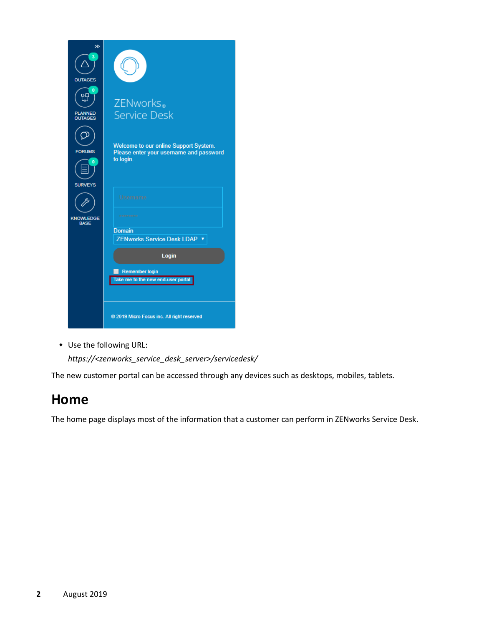

Use the following URL:

*https://<zenworks\_service\_desk\_server>/servicedesk/*

The new customer portal can be accessed through any devices such as desktops, mobiles, tablets.

# <span id="page-1-0"></span>**Home**

The home page displays most of the information that a customer can perform in ZENworks Service Desk.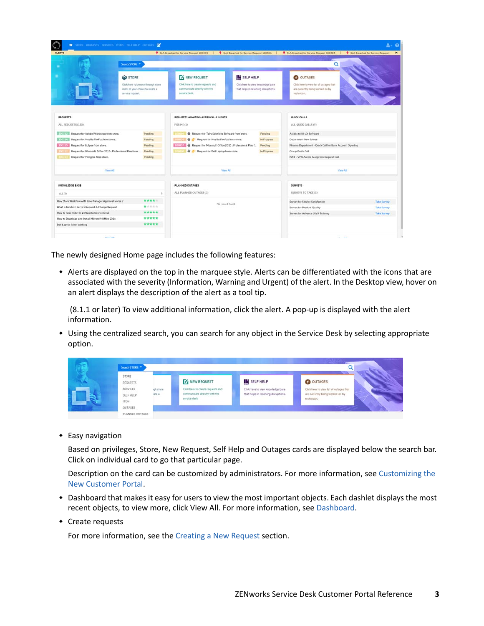| $\bigcirc$<br><b>ALERTS</b>                                                                                                                                                                                                                                                                |                                                                                                               | SLA Breached for Service Request 100305                                                                                                                                                                                      | 9 SLA Breached for Service Request 100304                                                        | SLA Breached for Service Request 100303                                                                                                                                        | SLA Breached for Service Request                               |
|--------------------------------------------------------------------------------------------------------------------------------------------------------------------------------------------------------------------------------------------------------------------------------------------|---------------------------------------------------------------------------------------------------------------|------------------------------------------------------------------------------------------------------------------------------------------------------------------------------------------------------------------------------|--------------------------------------------------------------------------------------------------|--------------------------------------------------------------------------------------------------------------------------------------------------------------------------------|----------------------------------------------------------------|
|                                                                                                                                                                                                                                                                                            | Search STORE                                                                                                  |                                                                                                                                                                                                                              |                                                                                                  | Q                                                                                                                                                                              |                                                                |
|                                                                                                                                                                                                                                                                                            | <b>GO</b> STORE<br>Click here to browse through store<br>items of your choice to create a<br>service request. | <b>X</b> NEW REQUEST<br>Click here to create requests and<br>communicate directly with the<br>service desk.                                                                                                                  | <b>IN SELF HELP</b><br>Click here to view knowledge base<br>that helps in resolving disruptions. | OUTAGES<br>Click here to view list of outages that<br>are currently being worked-on by<br>rechnician.                                                                          |                                                                |
| <b>REQUESTS</b><br>ALL REQUESTS (150)                                                                                                                                                                                                                                                      |                                                                                                               | REQUESTS AWAITING APPROVAL & INPUTS<br>FOR ME (4)                                                                                                                                                                            |                                                                                                  | QUICK CALLS<br>ALL QUICK CALLS (9)                                                                                                                                             |                                                                |
| <b>ELOISTIC Request for Adobe Photoshop from store.</b><br><b>STORY: Request for Mozilla FireFox from store.</b><br><b>EDITING Request for Eclipse from store.</b><br>Request for Microsoft Office 2016 : Professional Plus from<br>Request for Postgres from store.<br>100313             | Pending<br>Pending<br>Pending<br>Pending<br>Pending                                                           | Request for Tally Solutions Software from store.<br>Request for Mozilla FireFox from store.<br>$-10007$<br>Request for Microsoft Office 2016 : Professional Plus f<br><b>LOOKIN A</b><br>Request for Dell Laptop from store. | Pending<br>In Progress<br>Pending<br>In Progress                                                 | Access to UI-UX Software<br>Department New Joinee<br>Finance Department - Quick Call for Bank Account Opening<br>Group Quick Call<br>ISNT - VPN Access & approval request Call |                                                                |
| View All                                                                                                                                                                                                                                                                                   |                                                                                                               | View All                                                                                                                                                                                                                     |                                                                                                  | View All                                                                                                                                                                       |                                                                |
| KNOWLEDGE BASE<br>ALL (5)<br>٠                                                                                                                                                                                                                                                             |                                                                                                               | PLANNED OUTAGES<br>ALL PLANNED OUTAGES (0)                                                                                                                                                                                   |                                                                                                  | <b>SURVEYS</b><br>SURVEYS TO TAKE (3)                                                                                                                                          |                                                                |
| ****<br>How Store Workflow with Line Manager Approval works ?<br>*****<br>What is Incident, Service Request & Change Request<br>*****<br>How to raise ticket in ZENworks Service Desk<br>*****<br>How to Download and Install Microsoft Office 2016<br>*****<br>Dell Laptop is not working |                                                                                                               | No record found                                                                                                                                                                                                              |                                                                                                  | Survey for Service Satisfaction<br>Survey for Product Quality<br>Survey for Advance JAVA Training                                                                              | <b>Take Survey</b><br><b>Take Survey</b><br><b>Take Survey</b> |

The newly designed Home page includes the following features:

 Alerts are displayed on the top in the marquee style. Alerts can be differentiated with the icons that are associated with the severity (Information, Warning and Urgent) of the alert. In the Desktop view, hover on an alert displays the description of the alert as a tool tip.

 (8.1.1 or later) To view additional information, click the alert. A pop-up is displayed with the alert information.

 Using the centralized search, you can search for any object in the Service Desk by selecting appropriate option.

| Search STORE                                                     |                     |                                                                                                             |                                                                                                  |                                                                                                         |  |
|------------------------------------------------------------------|---------------------|-------------------------------------------------------------------------------------------------------------|--------------------------------------------------------------------------------------------------|---------------------------------------------------------------------------------------------------------|--|
| STORE<br><b>REQUESTS</b><br>SERVICES<br>SELF HELP<br><b>ITEM</b> | igh store<br>käte a | <b>Y</b> NEW REQUEST<br>Click here to create requests and<br>communicate directly with the<br>service desk. | <b>IN SELF HELP</b><br>Click here to view knowledge base<br>that helps in resolving disruptions. | O OUTAGES<br>Click here to view list of outages that<br>are currently being worked-on by<br>technician. |  |
| OUTAGES.<br>PLANNED OUTAGES                                      |                     |                                                                                                             |                                                                                                  |                                                                                                         |  |

Easy navigation

Based on privileges, Store, New Request, Self Help and Outages cards are displayed below the search bar. Click on individual card to go that particular page.

Description on the card can be customized by administrators. For more information, see [Customizing the](#page-23-1)  [New Customer Portal](#page-23-1).

- Dashboard that makes it easy for users to view the most important objects. Each dashlet displays the most recent objects, to view more, click View All. For more information, see [Dashboard.](#page-3-0)
- Create requests

For more information, see the [Creating a New Request](#page-8-0) section.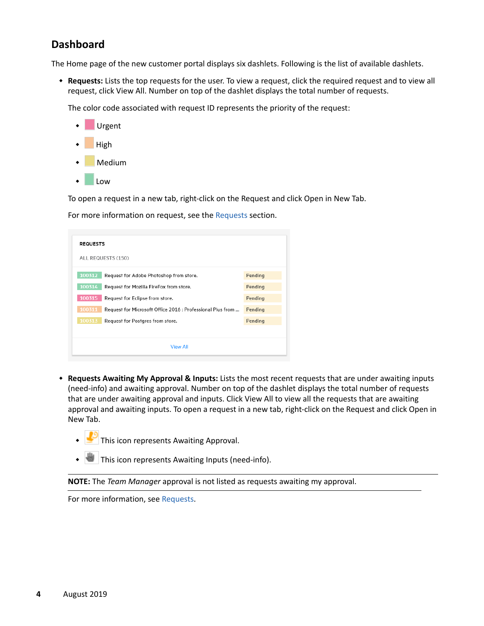# <span id="page-3-0"></span>**Dashboard**

The Home page of the new customer portal displays six dashlets. Following is the list of available dashlets.

 **Requests:** Lists the top requests for the user. To view a request, click the required request and to view all request, click View All. Number on top of the dashlet displays the total number of requests.

The color code associated with request ID represents the priority of the request:



To open a request in a new tab, right-click on the Request and click Open in New Tab.

For more information on request, see the [Requests](#page-7-0) section.

| <b>REQUESTS</b><br>ALL REQUESTS (150)                                |  |         |  |  |  |
|----------------------------------------------------------------------|--|---------|--|--|--|
| 100312<br>Request for Adobe Photoshop from store.                    |  | Pending |  |  |  |
| 100314<br>Request for Mozilla FireFox from store.                    |  | Pending |  |  |  |
| 100315<br>Request for Eclipse from store.                            |  | Pending |  |  |  |
| 100311<br>Request for Microsoft Office 2016 : Professional Plus from |  | Pending |  |  |  |
| 100313<br>Request for Postgres from store.                           |  | Pending |  |  |  |
|                                                                      |  |         |  |  |  |
| <b>View All</b>                                                      |  |         |  |  |  |

- **Requests Awaiting My Approval & Inputs:** Lists the most recent requests that are under awaiting inputs (need-info) and awaiting approval. Number on top of the dashlet displays the total number of requests that are under awaiting approval and inputs. Click View All to view all the requests that are awaiting approval and awaiting inputs. To open a request in a new tab, right-click on the Request and click Open in New Tab.
	- This icon represents Awaiting Approval.
	- This icon represents Awaiting Inputs (need-info).

**NOTE:** The *Team Manager* approval is not listed as requests awaiting my approval.

For more information, see [Requests](#page-7-0).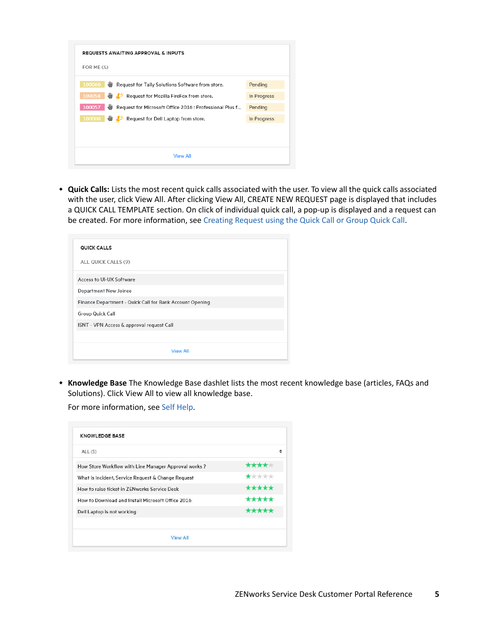| FOR ME $(4)$                                                       |             |
|--------------------------------------------------------------------|-------------|
| 100060 Request for Tally Solutions Software from store.            | Pending     |
| 100058 . B Request for Mozilla FireFox from store.                 | In Progress |
| 100057 \Request for Microsoft Office 2016 : Professional Plus f    | Pending     |
| 100000 <b>W</b> C <sup>9</sup> Request for Dell Laptop from store. | In Progress |
|                                                                    |             |
|                                                                    |             |

 **Quick Calls:** Lists the most recent quick calls associated with the user. To view all the quick calls associated with the user, click View All. After clicking View All, CREATE NEW REQUEST page is displayed that includes a QUICK CALL TEMPLATE section. On click of individual quick call, a pop-up is displayed and a request can be created. For more information, see [Creating Request using the Quick Call or Group Quick Call](#page-9-0).

| QUICK CALLS<br>ALL QUICK CALLS (9)                       |  |  |  |
|----------------------------------------------------------|--|--|--|
| Access to UI-UX Software                                 |  |  |  |
| Department New Joinee                                    |  |  |  |
| Finance Department - Quick Call for Bank Account Opening |  |  |  |
| Group Quick Call                                         |  |  |  |
| ISNT - VPN Access & approval request Call                |  |  |  |
|                                                          |  |  |  |
| <b>View All</b>                                          |  |  |  |

 **Knowledge Base** The Knowledge Base dashlet lists the most recent knowledge base (articles, FAQs and Solutions). Click View All to view all knowledge base.

For more information, see [Self Help](#page-18-0).

| ALL (5)                                              | ÷     |
|------------------------------------------------------|-------|
| How Store Workflow with Line Manager Approval works? | ****  |
| What is Incident, Service Request & Change Request   | ***** |
| How to raise ticket in ZENworks Service Desk         | ***** |
| How to Download and Install Microsoft Office 2016    | ***** |
| Dell Laptop is not working                           | ***** |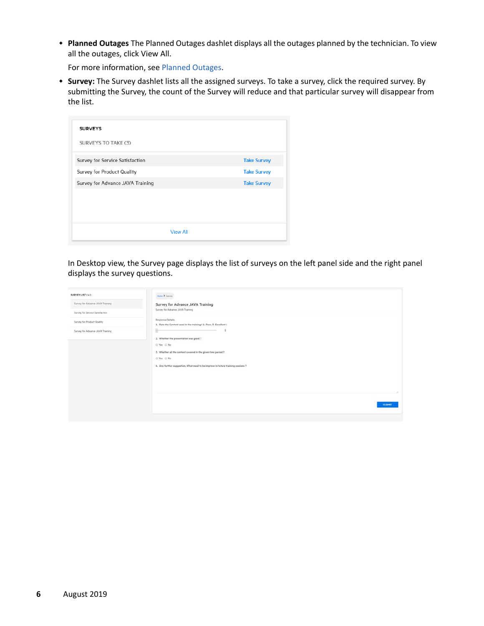**Planned Outages** The Planned Outages dashlet displays all the outages planned by the technician. To view all the outages, click View All.

For more information, see [Planned Outages](#page-21-0).

 **Survey:** The Survey dashlet lists all the assigned surveys. To take a survey, click the required survey. By submitting the Survey, the count of the Survey will reduce and that particular survey will disappear from the list.

| <b>SURVEYS</b>                   |                    |
|----------------------------------|--------------------|
| SURVEYS TO TAKE (3)              |                    |
| Survey for Service Satisfaction  | <b>Take Survey</b> |
| Survey for Product Quality       | <b>Take Survey</b> |
| Survey for Advance JAVA Training | <b>Take Survey</b> |
|                                  |                    |
|                                  |                    |
|                                  |                    |
| <b>View All</b>                  |                    |

In Desktop view, the Survey page displays the list of surveys on the left panel side and the right panel displays the survey questions.

| SURVEY LIST (4)                  | Home & Survey<br>menovat                                                                |
|----------------------------------|-----------------------------------------------------------------------------------------|
| Survey for Advance JAVA Training | Survey for Advance JAVA Training                                                        |
| Survey for Service Satisfaction  | Survey for Advance JAVA Training                                                        |
| Survey for Product Quality       | Response Details:<br>1. Rate the Content used in the training ( 1- Poor, 5- Excellent ) |
| Survey for Advance JAVA Training | 卧                                                                                       |
|                                  | 2. Whether the presentation was good?                                                   |
|                                  | G Yes G No                                                                              |
|                                  | 3. Whether all the content covered in the given time period ?<br>O Yes O No             |
|                                  | 4. Any further suggestion, What need to be improve in future training sessions ?        |
|                                  |                                                                                         |
|                                  |                                                                                         |
|                                  |                                                                                         |
|                                  |                                                                                         |
|                                  | <b>SUBMIT</b>                                                                           |
|                                  |                                                                                         |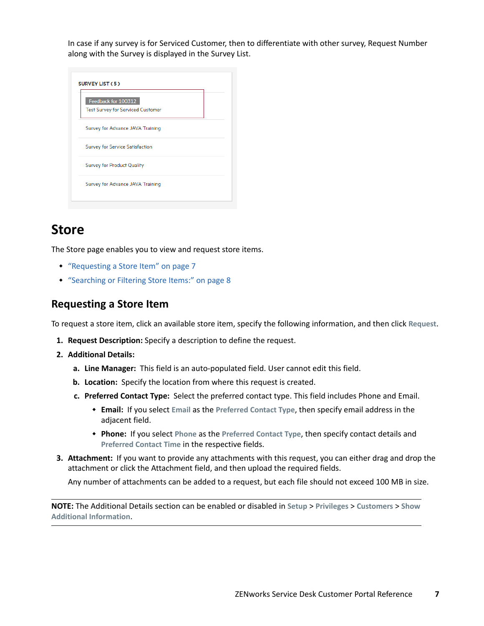In case if any survey is for Serviced Customer, then to differentiate with other survey, Request Number along with the Survey is displayed in the Survey List.

| Feedback for 100312                      |  |
|------------------------------------------|--|
| <b>Test Survey for Serviced Customer</b> |  |
| Survey for Advance JAVA Training         |  |
| <b>Survey for Service Satisfaction</b>   |  |
| Survey for Product Quality               |  |
| Survey for Advance JAVA Training         |  |

# <span id="page-6-0"></span>**Store**

The Store page enables you to view and request store items.

- ["Requesting a Store Item" on page 7](#page-6-1)
- ["Searching or Filtering Store Items:" on page 8](#page-7-1)

### <span id="page-6-1"></span>**Requesting a Store Item**

To request a store item, click an available store item, specify the following information, and then click **Request**.

- **1. Request Description:** Specify a description to define the request.
- **2. Additional Details:** 
	- **a. Line Manager:** This field is an auto-populated field. User cannot edit this field.
	- **b. Location:** Specify the location from where this request is created.
	- **c. Preferred Contact Type:** Select the preferred contact type. This field includes Phone and Email.
		- **Email:** If you select **Email** as the **Preferred Contact Type**, then specify email address in the adjacent field.
		- **Phone:** If you select **Phone** as the **Preferred Contact Type**, then specify contact details and **Preferred Contact Time** in the respective fields.
- **3. Attachment:** If you want to provide any attachments with this request, you can either drag and drop the attachment or click the Attachment field, and then upload the required fields.

Any number of attachments can be added to a request, but each file should not exceed 100 MB in size.

**NOTE:** The Additional Details section can be enabled or disabled in **Setup** > **Privileges** > **Customers** > **Show Additional Information**.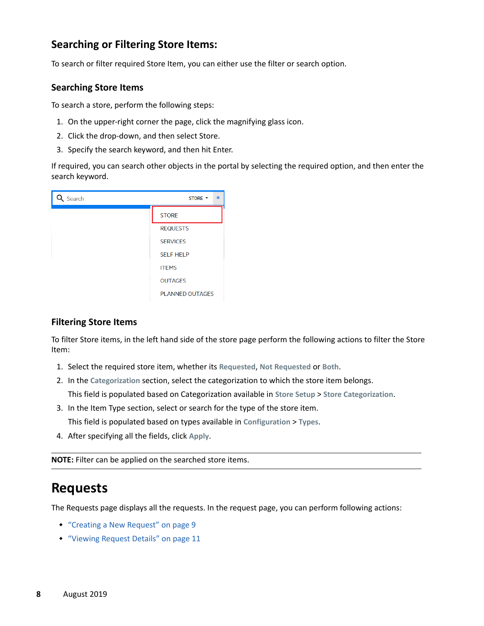# <span id="page-7-1"></span>**Searching or Filtering Store Items:**

To search or filter required Store Item, you can either use the filter or search option.

#### **Searching Store Items**

To search a store, perform the following steps:

- 1. On the upper-right corner the page, click the magnifying glass icon.
- 2. Click the drop-down, and then select Store.
- 3. Specify the search keyword, and then hit Enter.

If required, you can search other objects in the portal by selecting the required option, and then enter the search keyword.



### **Filtering Store Items**

To filter Store items, in the left hand side of the store page perform the following actions to filter the Store Item:

- 1. Select the required store item, whether its **Requested**, **Not Requested** or **Both**.
- 2. In the **Categorization** section, select the categorization to which the store item belongs. This field is populated based on Categorization available in **Store Setup** > **Store Categorization**.
- 3. In the Item Type section, select or search for the type of the store item. This field is populated based on types available in **Configuration** > **Types**.
- 4. After specifying all the fields, click **Apply**.

**NOTE:** Filter can be applied on the searched store items.

# <span id="page-7-0"></span>**Requests**

The Requests page displays all the requests. In the request page, you can perform following actions:

- ["Creating a New Request" on page 9](#page-8-0)
- ["Viewing Request Details" on page 11](#page-10-0)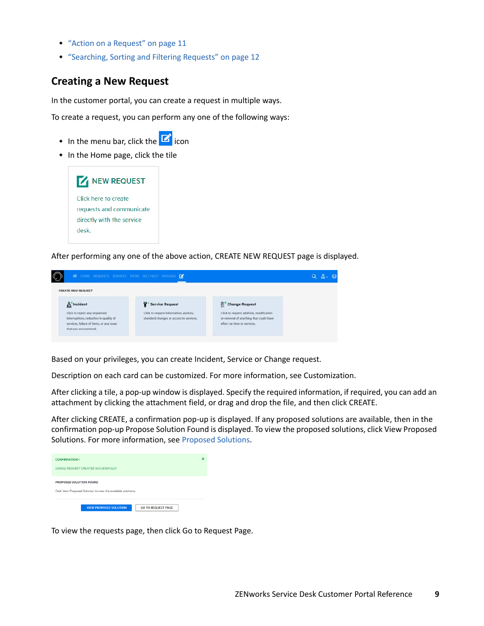- ["Action on a Request" on page 11](#page-10-1)
- ["Searching, Sorting and Filtering Requests" on page 12](#page-11-0)

### <span id="page-8-0"></span>**Creating a New Request**

In the customer portal, you can create a request in multiple ways.

To create a request, you can perform any one of the following ways:

- $\bullet$  In the menu bar, click the  $\Box$  icon
- In the Home page, click the tile



After performing any one of the above action, CREATE NEW REQUEST page is displayed.

| * STORE REQUESTS SERVICES ITEMS SELF-HELP OUTAGES D                                                                                          |                                                                                   |                                                                                                                  |  |
|----------------------------------------------------------------------------------------------------------------------------------------------|-----------------------------------------------------------------------------------|------------------------------------------------------------------------------------------------------------------|--|
| <b>CREATE NEW REQUEST</b>                                                                                                                    |                                                                                   |                                                                                                                  |  |
| <b>A</b> Incident                                                                                                                            | Service Request                                                                   | Change Request                                                                                                   |  |
| Click to report any unplanned<br>interruptions, reduction in quality of<br>services, failure of items, or any issue<br>that you encountered. | Click to request information, advices,<br>standard changes or access to services. | Click to request addition, modification<br>or removal of anything that could have<br>effect on item or services. |  |

Based on your privileges, you can create Incident, Service or Change request.

Description on each card can be customized. For more information, see Customization.

After clicking a tile, a pop-up window is displayed. Specify the required information, if required, you can add an attachment by clicking the attachment field, or drag and drop the file, and then click CREATE.

After clicking CREATE, a confirmation pop-up is displayed. If any proposed solutions are available, then in the confirmation pop-up Propose Solution Found is displayed. To view the proposed solutions, click View Proposed Solutions. For more information, see [Proposed Solutions](#page-9-1).

| <b>CONFIRMATION!</b>                                          | × |
|---------------------------------------------------------------|---|
| 100062 REQUEST CREATED SUCCESSFULLY                           |   |
| PROPOSED SOLUTION FOUND                                       |   |
| Click View Proposed Solution to view the available solutions. |   |
| <b>VIEW PROPOSED SOLUTION</b><br><b>GO TO REQUEST PAGE</b>    |   |

To view the requests page, then click Go to Request Page.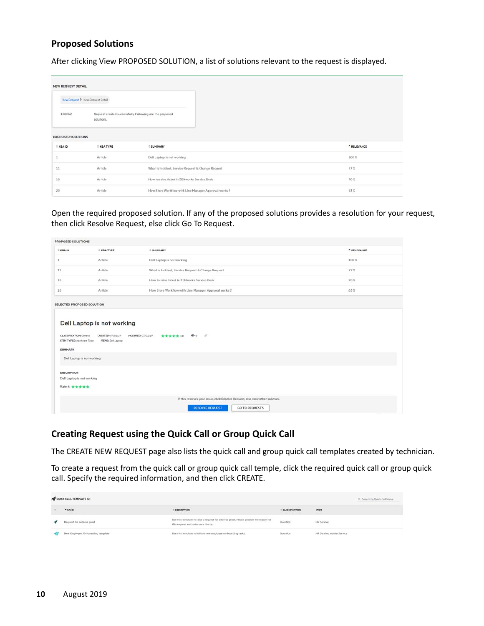#### <span id="page-9-1"></span>**Proposed Solutions**

After clicking View PROPOSED SOLUTION, a list of solutions relevant to the request is displayed.

| <b>NEW REQUEST DETAIL</b> |                                  |                                                          |              |
|---------------------------|----------------------------------|----------------------------------------------------------|--------------|
|                           | New Request > New Request Detail |                                                          |              |
| 100062<br>발표하다 보기         | solutions.                       | Request created successfully. Following are the proposed |              |
| PROPOSED SOLUTIONS        |                                  |                                                          |              |
| KBA ID                    | <b>EXBATYPE</b>                  | <b>SUMMARY</b>                                           | * RELEVANCE  |
|                           | Article                          | Dell Laptop is not working                               | $100 \times$ |
| $-11$                     | Article.                         | What is Incident, Service Request & Change Request       | 77%          |
| 10                        | TESTARIA<br>Article:             | How to raise ticket in ZENworks Service Desk             | 70%          |
| 20                        | Article                          | How Store Workflow with Line Manager Approval works ?    | 63%          |

Open the required proposed solution. If any of the proposed solutions provides a resolution for your request, then click Resolve Request, else click Go To Request.

| PROPOSED SOLUTIONS                                                                                                               |                                                                                                                                                                                                                                                                 |                                                                 |                 |  |  |  |  |
|----------------------------------------------------------------------------------------------------------------------------------|-----------------------------------------------------------------------------------------------------------------------------------------------------------------------------------------------------------------------------------------------------------------|-----------------------------------------------------------------|-----------------|--|--|--|--|
| <b>E KBA ID</b>                                                                                                                  | # KBA TYPE                                                                                                                                                                                                                                                      | # SUMMARY                                                       | * RELEVANCE     |  |  |  |  |
|                                                                                                                                  | Article                                                                                                                                                                                                                                                         | Dell Laptop is not working                                      | 100%            |  |  |  |  |
| 11                                                                                                                               | Article                                                                                                                                                                                                                                                         | What is Incident, Service Request & Change Request              | 77 <sup>o</sup> |  |  |  |  |
| 10                                                                                                                               | Article                                                                                                                                                                                                                                                         | How to raise ticket in ZENworks Service Desk<br>70 <sup>2</sup> |                 |  |  |  |  |
| 20                                                                                                                               | Article                                                                                                                                                                                                                                                         | How Store Worldfow with Line Manager Approval works 7           | 63.3            |  |  |  |  |
| <b>SUMMARY</b>                                                                                                                   | SELECTED PROPOSED SOLUTION<br>Dell Laptop is not working<br>- 10<br>QQ<br>***** (1)<br><b>CLASSIFICATION:</b> General<br>CREATED: 07/01/19<br><b>MODIFIED: 07/01/19</b><br><b>ITEM TYPES:</b> Hardware Type<br>ITEMS: Dell Laphia<br>Dell Laptop is not working |                                                                 |                 |  |  |  |  |
| <b>DESCRIPTION</b><br>Dell Laptop is not working<br>Rate it: *****                                                               |                                                                                                                                                                                                                                                                 |                                                                 |                 |  |  |  |  |
| If this resolves your issue, click Resolve Request, else view other solution.<br><b>RESOLVE REQUEST</b><br><b>GO TO REQUESTS</b> |                                                                                                                                                                                                                                                                 |                                                                 |                 |  |  |  |  |

### <span id="page-9-0"></span>**Creating Request using the Quick Call or Group Quick Call**

The CREATE NEW REQUEST page also lists the quick call and group quick call templates created by technician.

To create a request from the quick call or group quick call temple, click the required quick call or group quick call. Specify the required information, and then click CREATE.

| QUICK CALL TEMPLATE (2)                                                   |                                                                                                                            |                                                |                             | CL: Search by Quick Call Name |
|---------------------------------------------------------------------------|----------------------------------------------------------------------------------------------------------------------------|------------------------------------------------|-----------------------------|-------------------------------|
| " NAME<br><b>CONTRACTOR</b>                                               | <b>DESCRIPTION</b>                                                                                                         | <b>CLASSIFICATION</b><br>STORY CONTROL CONTROL | <b>ITEM</b><br><b>STORY</b> |                               |
| Request for address proof<br>THE REPORT OF A REPORT OF A REPORT OF A REAL | Use this template to raise a request for address proof. Please provide the reason for<br>this request and make sure that y | Question                                       | <b>HR</b> Service           |                               |
| New Employee: On-boarding template                                        | Use this template to initiate new employee on-boarding tasks.                                                              | Question                                       | HR Service, Admin Service   |                               |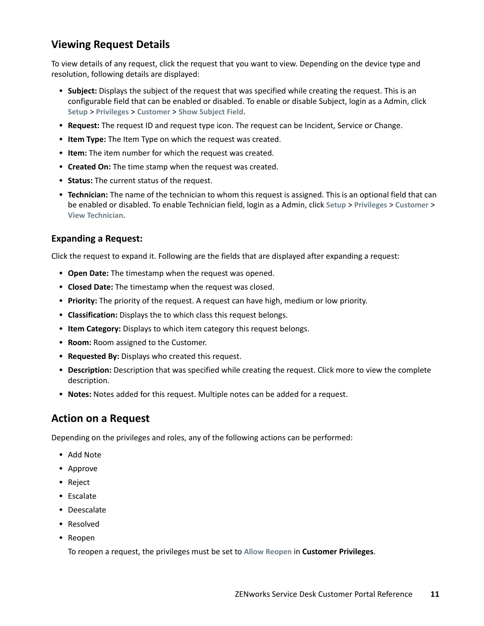# <span id="page-10-0"></span>**Viewing Request Details**

To view details of any request, click the request that you want to view. Depending on the device type and resolution, following details are displayed:

- **Subject:** Displays the subject of the request that was specified while creating the request. This is an configurable field that can be enabled or disabled. To enable or disable Subject, login as a Admin, click **Setup** > **Privileges** > **Customer** > **Show Subject Field**.
- **Request:** The request ID and request type icon. The request can be Incident, Service or Change.
- **Item Type:** The Item Type on which the request was created.
- **Item:** The item number for which the request was created.
- **Created On:** The time stamp when the request was created.
- **Status:** The current status of the request.
- **Technician:** The name of the technician to whom this request is assigned. This is an optional field that can be enabled or disabled. To enable Technician field, login as a Admin, click **Setup** > **Privileges** > **Customer** > **View Technician**.

#### **Expanding a Request:**

Click the request to expand it. Following are the fields that are displayed after expanding a request:

- **Open Date:** The timestamp when the request was opened.
- **Closed Date:** The timestamp when the request was closed.
- **Priority:** The priority of the request. A request can have high, medium or low priority.
- **Classification:** Displays the to which class this request belongs.
- **Item Category:** Displays to which item category this request belongs.
- **Room:** Room assigned to the Customer.
- **Requested By:** Displays who created this request.
- **Description:** Description that was specified while creating the request. Click more to view the complete description.
- **Notes:** Notes added for this request. Multiple notes can be added for a request.

### <span id="page-10-1"></span>**Action on a Request**

Depending on the privileges and roles, any of the following actions can be performed:

- Add Note
- Approve
- Reject
- Escalate
- Deescalate
- Resolved
- Reopen

To reopen a request, the privileges must be set to **Allow Reopen** in **Customer Privileges**.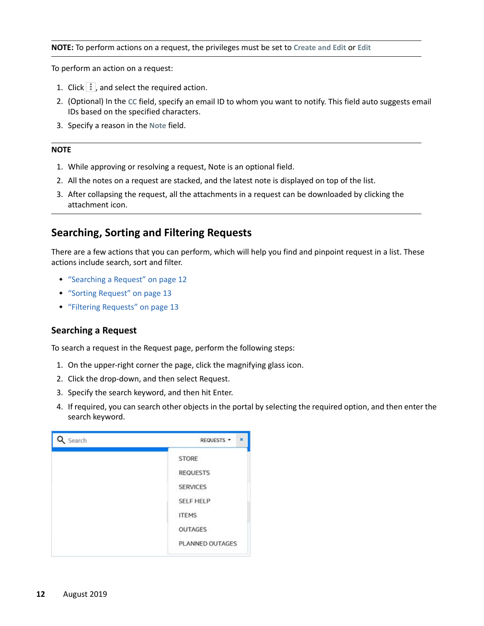#### **NOTE:** To perform actions on a request, the privileges must be set to **Create and Edit** or **Edit**

To perform an action on a request:

- 1. Click  $\left| \cdot \right|$ , and select the required action.
- 2. (Optional) In the **CC** field, specify an email ID to whom you want to notify. This field auto suggests email IDs based on the specified characters.
- 3. Specify a reason in the **Note** field.

#### **NOTE**

- 1. While approving or resolving a request, Note is an optional field.
- 2. All the notes on a request are stacked, and the latest note is displayed on top of the list.
- 3. After collapsing the request, all the attachments in a request can be downloaded by clicking the attachment icon.

### <span id="page-11-0"></span>**Searching, Sorting and Filtering Requests**

There are a few actions that you can perform, which will help you find and pinpoint request in a list. These actions include search, sort and filter.

- ["Searching a Request" on page 12](#page-11-1)
- ["Sorting Request" on page 13](#page-12-0)
- ["Filtering Requests" on page 13](#page-12-1)

#### <span id="page-11-1"></span>**Searching a Request**

To search a request in the Request page, perform the following steps:

- 1. On the upper-right corner the page, click the magnifying glass icon.
- 2. Click the drop-down, and then select Request.
- 3. Specify the search keyword, and then hit Enter.
- 4. If required, you can search other objects in the portal by selecting the required option, and then enter the search keyword.

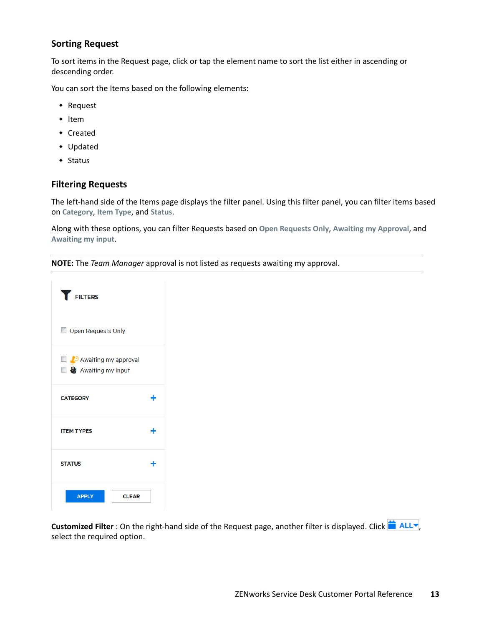#### <span id="page-12-0"></span>**Sorting Request**

To sort items in the Request page, click or tap the element name to sort the list either in ascending or descending order.

You can sort the Items based on the following elements:

- Request
- $\cdot$  Item
- Created
- Updated
- $\triangleleft$  Status

#### <span id="page-12-1"></span>**Filtering Requests**

The left-hand side of the Items page displays the filter panel. Using this filter panel, you can filter items based on **Category**, **Item Type**, and **Status**.

Along with these options, you can filter Requests based on **Open Requests Only**, **Awaiting my Approval**, and **Awaiting my input**.

**NOTE:** The *Team Manager* approval is not listed as requests awaiting my approval.



Customized Filter : On the right-hand side of the Request page, another filter is displayed. Click **in ALL** select the required option.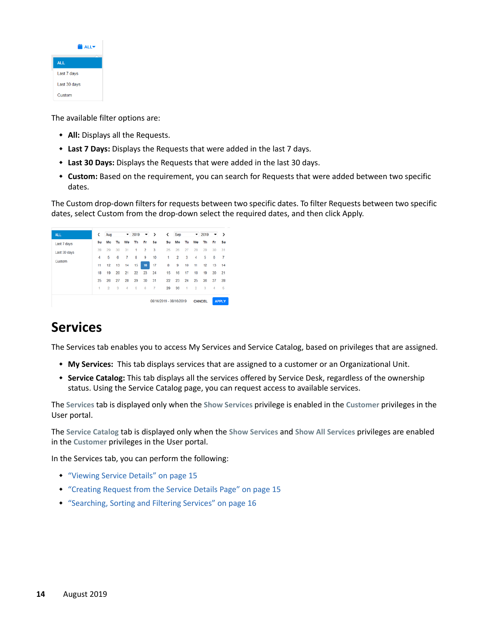| <b>ALLY</b>  |  |  |  |
|--------------|--|--|--|
| <b>ALL</b>   |  |  |  |
| Last 7 days  |  |  |  |
| Last 30 days |  |  |  |
| Custom       |  |  |  |

The available filter options are:

- **All:** Displays all the Requests.
- **Last 7 Days:** Displays the Requests that were added in the last 7 days.
- **Last 30 Days:** Displays the Requests that were added in the last 30 days.
- **Custom:** Based on the requirement, you can search for Requests that were added between two specific dates.

The Custom drop-down filters for requests between two specific dates. To filter Requests between two specific dates, select Custom from the drop-down select the required dates, and then click Apply.



# <span id="page-13-0"></span>**Services**

The Services tab enables you to access My Services and Service Catalog, based on privileges that are assigned.

- **My Services:** This tab displays services that are assigned to a customer or an Organizational Unit.
- **Service Catalog:** This tab displays all the services offered by Service Desk, regardless of the ownership status. Using the Service Catalog page, you can request access to available services.

The **Services** tab is displayed only when the **Show Services** privilege is enabled in the **Customer** privileges in the User portal.

The **Service Catalog** tab is displayed only when the **Show Services** and **Show All Services** privileges are enabled in the **Customer** privileges in the User portal.

In the Services tab, you can perform the following:

- ["Viewing Service Details" on page 15](#page-14-0)
- ["Creating Request from the Service Details Page" on page 15](#page-14-1)
- ["Searching, Sorting and Filtering Services" on page 16](#page-15-0)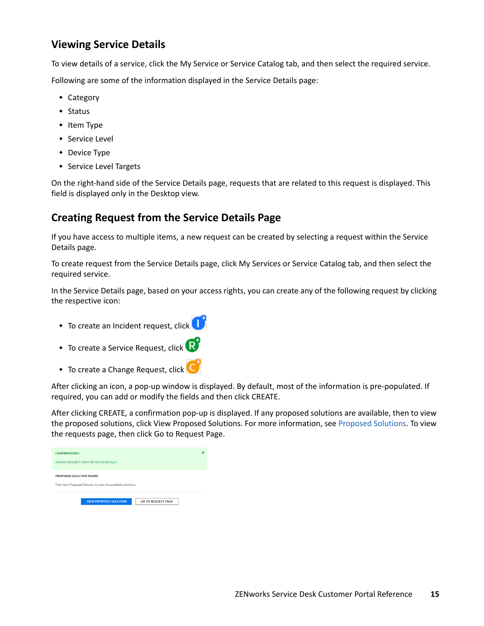# <span id="page-14-0"></span>**Viewing Service Details**

To view details of a service, click the My Service or Service Catalog tab, and then select the required service.

Following are some of the information displayed in the Service Details page:

- ◆ Category
- $\bullet$  Status
- $\cdot$  Item Type
- **+ Service Level**
- Device Type
- Service Level Targets

On the right-hand side of the Service Details page, requests that are related to this request is displayed. This field is displayed only in the Desktop view.

# <span id="page-14-1"></span>**Creating Request from the Service Details Page**

If you have access to multiple items, a new request can be created by selecting a request within the Service Details page.

To create request from the Service Details page, click My Services or Service Catalog tab, and then select the required service.

In the Service Details page, based on your access rights, you can create any of the following request by clicking the respective icon:

- To create an Incident request, click
- To create a Service Request, click
- To create a Change Request, click

After clicking an icon, a pop-up window is displayed. By default, most of the information is pre-populated. If required, you can add or modify the fields and then click CREATE.

After clicking CREATE, a confirmation pop-up is displayed. If any proposed solutions are available, then to view the proposed solutions, click View Proposed Solutions. For more information, see [Proposed Solutions](#page-9-1). To view the requests page, then click Go to Request Page.

| <b>CONFIRMATION!</b>                                          | × |
|---------------------------------------------------------------|---|
| 100062 REQUEST CREATED SUCCESSFULLY                           |   |
| PROPOSED SOLUTION FOUND                                       |   |
| Click View Proposed Solution to view the available solutions. |   |
| <b>VIEW PROPOSED SOLUTION</b><br><b>GO TO REQUEST PAGE</b>    |   |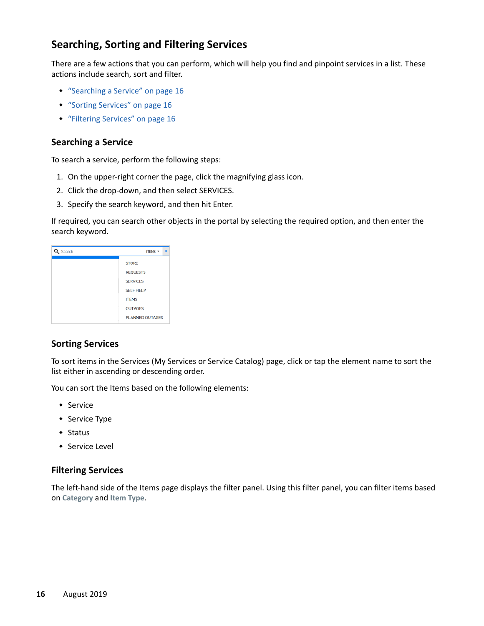# <span id="page-15-0"></span>**Searching, Sorting and Filtering Services**

There are a few actions that you can perform, which will help you find and pinpoint services in a list. These actions include search, sort and filter.

- ["Searching a Service" on page 16](#page-15-1)
- ["Sorting Services" on page 16](#page-15-2)
- ["Filtering Services" on page 16](#page-15-3)

#### <span id="page-15-1"></span>**Searching a Service**

To search a service, perform the following steps:

- 1. On the upper-right corner the page, click the magnifying glass icon.
- 2. Click the drop-down, and then select SERVICES.
- 3. Specify the search keyword, and then hit Enter.

If required, you can search other objects in the portal by selecting the required option, and then enter the search keyword.

| Search | ITEMS -                |
|--------|------------------------|
|        | <b>STORE</b>           |
|        | <b>REQUESTS</b>        |
|        | <b>SERVICES</b>        |
|        | <b>SELF HELP</b>       |
|        | <b>ITEMS</b>           |
|        | <b>OUTAGES</b>         |
|        | <b>PLANNED OUTAGES</b> |

### <span id="page-15-2"></span>**Sorting Services**

To sort items in the Services (My Services or Service Catalog) page, click or tap the element name to sort the list either in ascending or descending order.

You can sort the Items based on the following elements:

- Service
- **+** Service Type
- Status
- ◆ Service Level

#### <span id="page-15-3"></span>**Filtering Services**

The left-hand side of the Items page displays the filter panel. Using this filter panel, you can filter items based on **Category** and **Item Type**.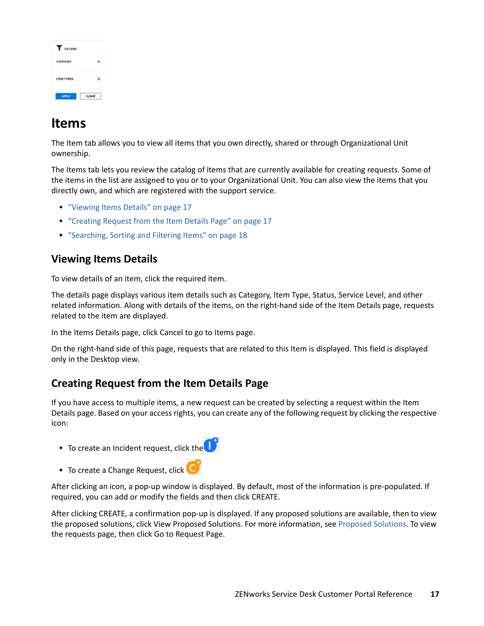| <b>FILTERS</b>                  |              |
|---------------------------------|--------------|
| <b>SAN STANDARD</b><br>CATEGORY |              |
| <b>ITEM TYPES</b>               |              |
|                                 | <b>CLEAR</b> |

# <span id="page-16-0"></span>**Items**

The Item tab allows you to view all items that you own directly, shared or through Organizational Unit ownership.

The Items tab lets you review the catalog of items that are currently available for creating requests. Some of the items in the list are assigned to you or to your Organizational Unit. You can also view the items that you directly own, and which are registered with the support service.

- ["Viewing Items Details" on page 17](#page-16-1)
- ["Creating Request from the Item Details Page" on page 17](#page-16-2)
- ["Searching, Sorting and Filtering Items" on page 18](#page-17-0)

# <span id="page-16-1"></span>**Viewing Items Details**

To view details of an item, click the required item.

The details page displays various item details such as Category, Item Type, Status, Service Level, and other related information. Along with details of the items, on the right-hand side of the Item Details page, requests related to the item are displayed.

In the Items Details page, click Cancel to go to Items page.

On the right-hand side of this page, requests that are related to this Item is displayed. This field is displayed only in the Desktop view.

# <span id="page-16-2"></span>**Creating Request from the Item Details Page**

If you have access to multiple items, a new request can be created by selecting a request within the Item Details page. Based on your access rights, you can create any of the following request by clicking the respective icon:

- $\bullet$  To create an Incident request, click the  $\Box$
- $\bullet$  To create a Change Request, click

After clicking an icon, a pop-up window is displayed. By default, most of the information is pre-populated. If required, you can add or modify the fields and then click CREATE.

After clicking CREATE, a confirmation pop-up is displayed. If any proposed solutions are available, then to view the proposed solutions, click View Proposed Solutions. For more information, see [Proposed Solutions](#page-9-1). To view the requests page, then click Go to Request Page.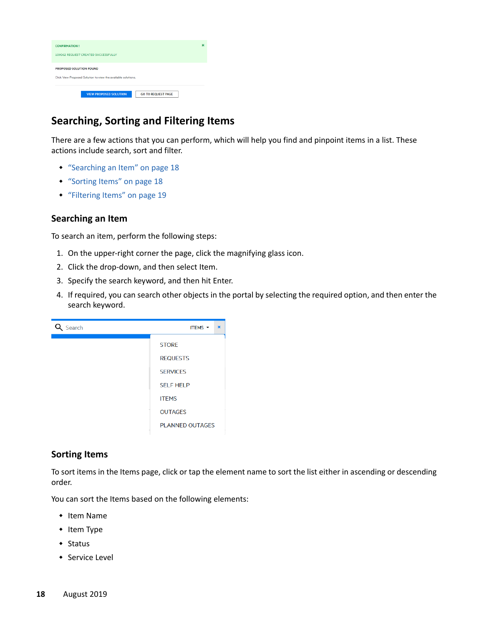| <b>CONFIRMATION!</b>                                                                     | × |
|------------------------------------------------------------------------------------------|---|
| 100062 REQUEST CREATED SUCCESSFULLY                                                      |   |
| PROPOSED SOLUTION FOUND<br>Click View Proposed Solution to view the available solutions. |   |
| <b>GO TO REQUEST PAGE</b><br><b>VIEW PROPOSED SOLUTION</b>                               |   |

# <span id="page-17-0"></span>**Searching, Sorting and Filtering Items**

There are a few actions that you can perform, which will help you find and pinpoint items in a list. These actions include search, sort and filter.

- ["Searching an Item" on page 18](#page-17-1)
- ["Sorting Items" on page 18](#page-17-2)
- ["Filtering Items" on page 19](#page-18-1)

#### <span id="page-17-1"></span>**Searching an Item**

To search an item, perform the following steps:

- 1. On the upper-right corner the page, click the magnifying glass icon.
- 2. Click the drop-down, and then select Item.
- 3. Specify the search keyword, and then hit Enter.
- 4. If required, you can search other objects in the portal by selecting the required option, and then enter the search keyword.



#### <span id="page-17-2"></span>**Sorting Items**

To sort items in the Items page, click or tap the element name to sort the list either in ascending or descending order.

You can sort the Items based on the following elements:

- Item Name
- Item Type
- Status
- **\*** Service Level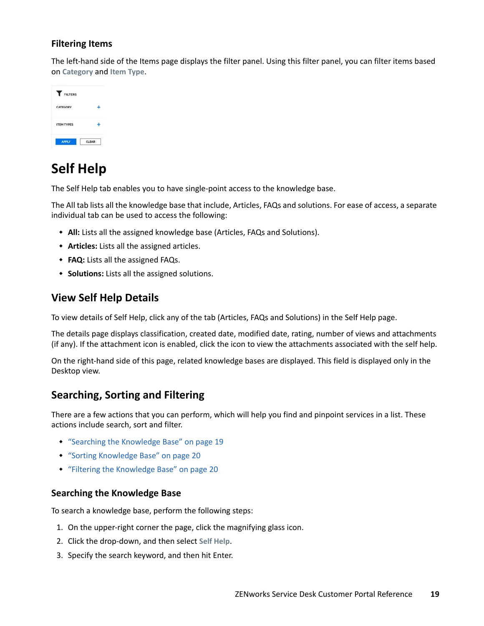### <span id="page-18-1"></span>**Filtering Items**

The left-hand side of the Items page displays the filter panel. Using this filter panel, you can filter items based on **Category** and **Item Type**.

| <b>FILTERS</b>    |              |
|-------------------|--------------|
| CATEGORY          |              |
| <b>ITEM TYPES</b> |              |
|                   | <b>CLEAR</b> |

# <span id="page-18-0"></span>**Self Help**

The Self Help tab enables you to have single-point access to the knowledge base.

The All tab lists all the knowledge base that include, Articles, FAQs and solutions. For ease of access, a separate individual tab can be used to access the following:

- **All:** Lists all the assigned knowledge base (Articles, FAQs and Solutions).
- **Articles:** Lists all the assigned articles.
- **FAQ:** Lists all the assigned FAQs.
- **Solutions:** Lists all the assigned solutions.

### **View Self Help Details**

To view details of Self Help, click any of the tab (Articles, FAQs and Solutions) in the Self Help page.

The details page displays classification, created date, modified date, rating, number of views and attachments (if any). If the attachment icon is enabled, click the icon to view the attachments associated with the self help.

On the right-hand side of this page, related knowledge bases are displayed. This field is displayed only in the Desktop view.

# **Searching, Sorting and Filtering**

There are a few actions that you can perform, which will help you find and pinpoint services in a list. These actions include search, sort and filter.

- ["Searching the Knowledge Base" on page 19](#page-18-2)
- ["Sorting Knowledge Base" on page 20](#page-19-0)
- ["Filtering the Knowledge Base" on page 20](#page-19-1)

#### <span id="page-18-2"></span>**Searching the Knowledge Base**

To search a knowledge base, perform the following steps:

- 1. On the upper-right corner the page, click the magnifying glass icon.
- 2. Click the drop-down, and then select **Self Help**.
- 3. Specify the search keyword, and then hit Enter.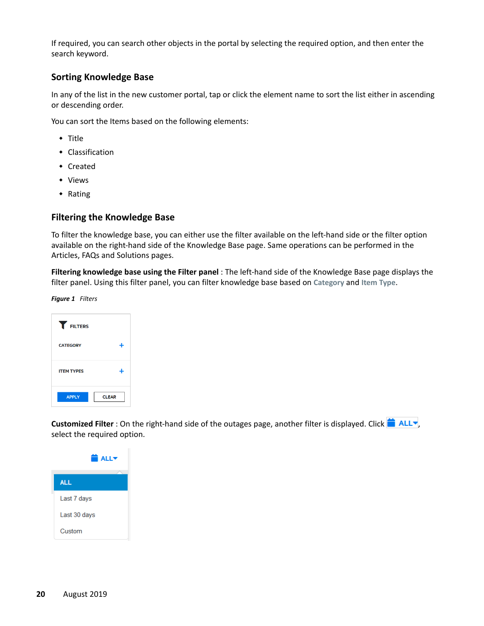If required, you can search other objects in the portal by selecting the required option, and then enter the search keyword.

#### <span id="page-19-0"></span>**Sorting Knowledge Base**

In any of the list in the new customer portal, tap or click the element name to sort the list either in ascending or descending order.

You can sort the Items based on the following elements:

- $\overline{\phantom{a}}$  Title
- Classification
- Created
- Views
- Rating

#### <span id="page-19-1"></span>**Filtering the Knowledge Base**

To filter the knowledge base, you can either use the filter available on the left-hand side or the filter option available on the right-hand side of the Knowledge Base page. Same operations can be performed in the Articles, FAQs and Solutions pages.

**Filtering knowledge base using the Filter panel** : The left-hand side of the Knowledge Base page displays the filter panel. Using this filter panel, you can filter knowledge base based on **Category** and **Item Type**.

*Figure 1 Filters*

| <b>FILTERS</b>    |              |
|-------------------|--------------|
| <b>CATEGORY</b>   |              |
| <b>ITEM TYPES</b> |              |
| <b>APPLY</b>      | <b>CLEAR</b> |

Customized Filter : On the right-hand side of the outages page, another filter is displayed. Click **and HCLV**, select the required option.

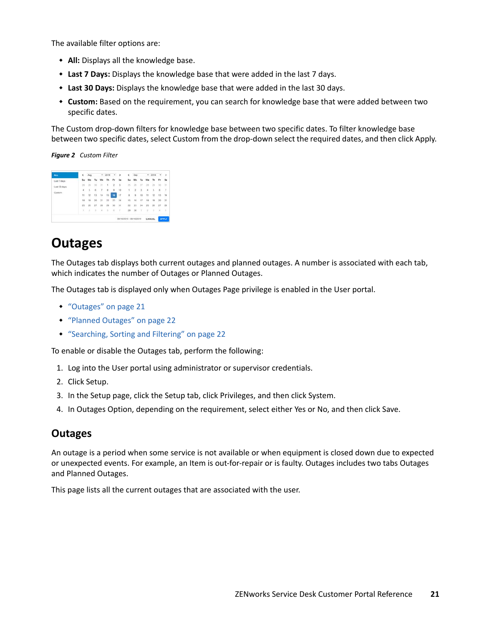The available filter options are:

- **All:** Displays all the knowledge base.
- **Last 7 Days:** Displays the knowledge base that were added in the last 7 days.
- **Last 30 Days:** Displays the knowledge base that were added in the last 30 days.
- **Custom:** Based on the requirement, you can search for knowledge base that were added between two specific dates.

The Custom drop-down filters for knowledge base between two specific dates. To filter knowledge base between two specific dates, select Custom from the drop-down select the required dates, and then click Apply.

*Figure 2 Custom Filter*

| ALL.                | $\epsilon$          | Aug |    | ۰  | 2019           | ٠              | 5  | ¢       |                |         |                      | $-2019$   | $\bullet$            | $\rightarrow$ |
|---------------------|---------------------|-----|----|----|----------------|----------------|----|---------|----------------|---------|----------------------|-----------|----------------------|---------------|
| Linit 7 days        | \$u                 | Mo  | Tu | We | <b>Th</b>      | ۴r             | Sa | \$u     | Mo             | Tu      | ۷ŵ                   | <b>Th</b> | $r_{\tau}$           | \$á           |
| Lest 30 days        |                     |     |    |    | 3              | 2              | J  |         |                | 27      |                      |           | ×                    | 31            |
|                     | 4.                  |     | 6  | 7  | 8              | $\overline{9}$ | 10 | 1       | $\overline{2}$ | ä       | $\ddot{\phantom{a}}$ | ś         | $\ddot{\phantom{0}}$ | $\mathcal{I}$ |
| Custom <sup>1</sup> | $\ddot{\mathbf{1}}$ | 12  | 13 | 14 | 15             | 16             | 17 | ×       | ä              | 10      | 11                   | 12        | 13                   | 14            |
|                     | 18                  | 19  | 20 | 21 | $\overline{z}$ | 23             | 24 | t5      | 16             | 17      | 18                   | 19        | 20                   | 21            |
|                     | 25                  | 26  | 27 | 28 | 26             | $^{50}$        | 31 | $_{22}$ | $^{23}$        | $^{24}$ | 25                   | 36        | 27                   | 28            |
|                     | ×                   | ×   | 3  | ×  | ٠              | ٠              | ×  | 29      | $\infty$       | ÷       | ÷                    | - 3       | u                    | s             |

# <span id="page-20-0"></span>**Outages**

The Outages tab displays both current outages and planned outages. A number is associated with each tab, which indicates the number of Outages or Planned Outages.

The Outages tab is displayed only when Outages Page privilege is enabled in the User portal.

- ["Outages" on page 21](#page-20-1)
- ["Planned Outages" on page 22](#page-21-0)
- ["Searching, Sorting and Filtering" on page 22](#page-21-1)

To enable or disable the Outages tab, perform the following:

- 1. Log into the User portal using administrator or supervisor credentials.
- 2. Click Setup.
- 3. In the Setup page, click the Setup tab, click Privileges, and then click System.
- 4. In Outages Option, depending on the requirement, select either Yes or No, and then click Save.

### <span id="page-20-1"></span>**Outages**

An outage is a period when some service is not available or when equipment is closed down due to expected or unexpected events. For example, an Item is out-for-repair or is faulty. Outages includes two tabs Outages and Planned Outages.

This page lists all the current outages that are associated with the user.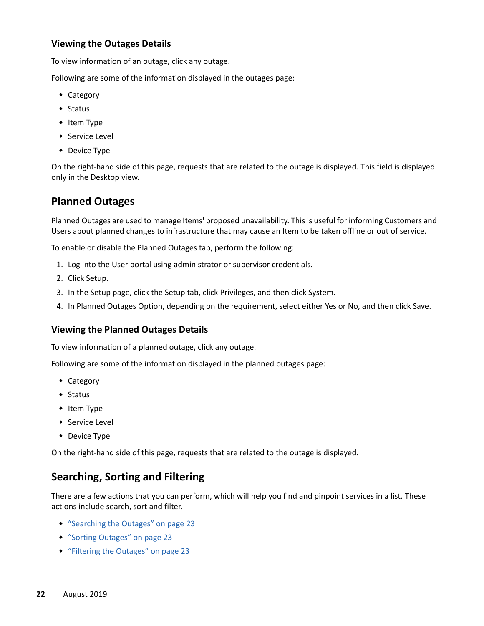#### **Viewing the Outages Details**

To view information of an outage, click any outage.

Following are some of the information displayed in the outages page:

- Category
- $\triangleleft$  Status
- $\cdot$  Item Type
- **\*** Service Level
- Device Type

On the right-hand side of this page, requests that are related to the outage is displayed. This field is displayed only in the Desktop view.

# <span id="page-21-0"></span>**Planned Outages**

Planned Outages are used to manage Items' proposed unavailability. This is useful for informing Customers and Users about planned changes to infrastructure that may cause an Item to be taken offline or out of service.

To enable or disable the Planned Outages tab, perform the following:

- 1. Log into the User portal using administrator or supervisor credentials.
- 2. Click Setup.
- 3. In the Setup page, click the Setup tab, click Privileges, and then click System.
- 4. In Planned Outages Option, depending on the requirement, select either Yes or No, and then click Save.

#### **Viewing the Planned Outages Details**

To view information of a planned outage, click any outage.

Following are some of the information displayed in the planned outages page:

- ◆ Category
- Status
- $\cdot$  Item Type
- **\*** Service Level
- Device Type

On the right-hand side of this page, requests that are related to the outage is displayed.

### <span id="page-21-1"></span>**Searching, Sorting and Filtering**

There are a few actions that you can perform, which will help you find and pinpoint services in a list. These actions include search, sort and filter.

- ["Searching the Outages" on page 23](#page-22-0)
- ["Sorting Outages" on page 23](#page-22-1)
- ["Filtering the Outages" on page 23](#page-22-2)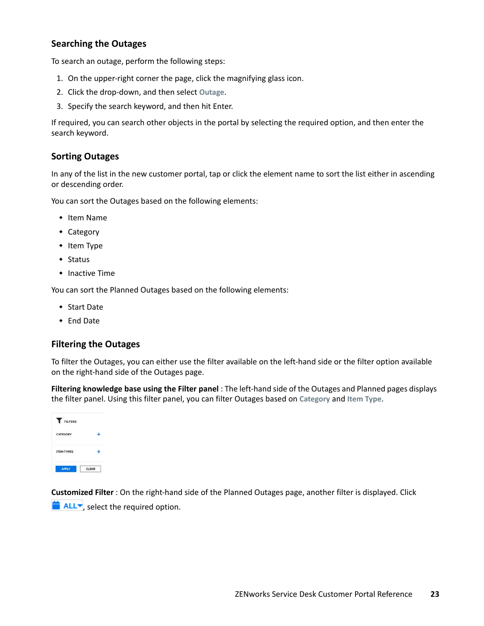### <span id="page-22-0"></span>**Searching the Outages**

To search an outage, perform the following steps:

- 1. On the upper-right corner the page, click the magnifying glass icon.
- 2. Click the drop-down, and then select **Outage**.
- 3. Specify the search keyword, and then hit Enter.

If required, you can search other objects in the portal by selecting the required option, and then enter the search keyword.

### <span id="page-22-1"></span>**Sorting Outages**

In any of the list in the new customer portal, tap or click the element name to sort the list either in ascending or descending order.

You can sort the Outages based on the following elements:

- $\cdot$  Item Name
- Category
- $\cdot$  Item Type
- $\triangleleft$  Status
- $\cdot$  Inactive Time

You can sort the Planned Outages based on the following elements:

- Start Date
- ◆ End Date

### <span id="page-22-2"></span>**Filtering the Outages**

To filter the Outages, you can either use the filter available on the left-hand side or the filter option available on the right-hand side of the Outages page.

**Filtering knowledge base using the Filter panel** : The left-hand side of the Outages and Planned pages displays the filter panel. Using this filter panel, you can filter Outages based on **Category** and **Item Type**.



**Customized Filter** : On the right-hand side of the Planned Outages page, another filter is displayed. Click  $\blacksquare$  ALL $\blacktriangleright$ , select the required option.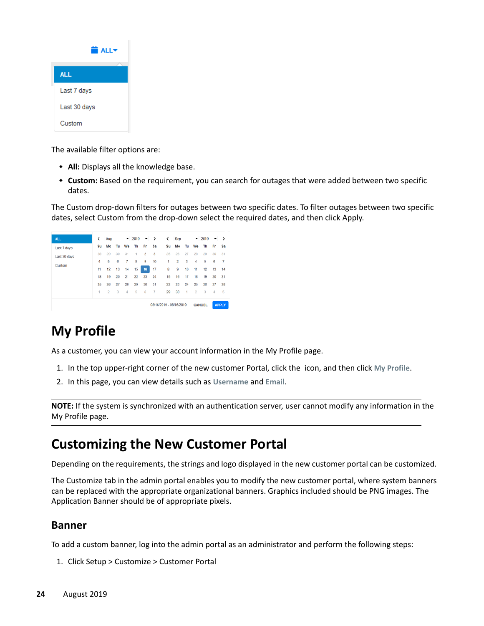| <b>a</b> ALL▼ |  |  |  |  |
|---------------|--|--|--|--|
| <b>ALL</b>    |  |  |  |  |
| Last 7 days   |  |  |  |  |
| Last 30 days  |  |  |  |  |
| Custom        |  |  |  |  |

The available filter options are:

- **All:** Displays all the knowledge base.
- **Custom:** Based on the requirement, you can search for outages that were added between two specific dates.

The Custom drop-down filters for outages between two specific dates. To filter outages between two specific dates, select Custom from the drop-down select the required dates, and then click Apply.



# <span id="page-23-0"></span>**My Profile**

As a customer, you can view your account information in the My Profile page.

- 1. In the top upper-right corner of the new customer Portal, click the icon, and then click **My Profile**.
- 2. In this page, you can view details such as **Username** and **Email**.

**NOTE:** If the system is synchronized with an authentication server, user cannot modify any information in the My Profile page.

# <span id="page-23-1"></span>**Customizing the New Customer Portal**

Depending on the requirements, the strings and logo displayed in the new customer portal can be customized.

The Customize tab in the admin portal enables you to modify the new customer portal, where system banners can be replaced with the appropriate organizational banners. Graphics included should be PNG images. The Application Banner should be of appropriate pixels.

# **Banner**

To add a custom banner, log into the admin portal as an administrator and perform the following steps:

1. Click Setup > Customize > Customer Portal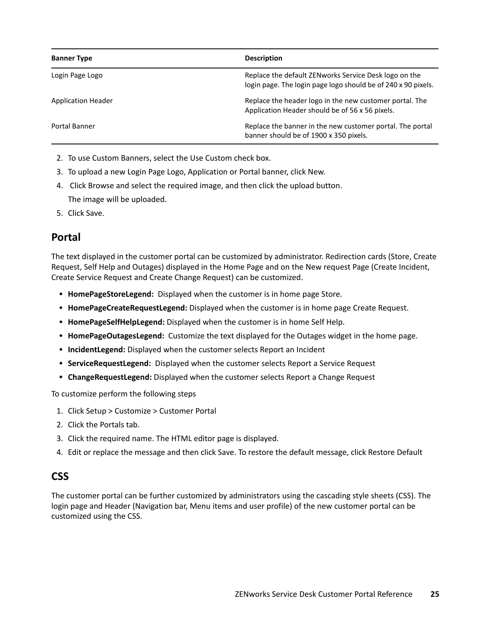| <b>Banner Type</b>        | <b>Description</b>                                                                                                      |
|---------------------------|-------------------------------------------------------------------------------------------------------------------------|
| Login Page Logo           | Replace the default ZEN works Service Desk logo on the<br>login page. The login page logo should be of 240 x 90 pixels. |
| <b>Application Header</b> | Replace the header logo in the new customer portal. The<br>Application Header should be of 56 x 56 pixels.              |
| Portal Banner             | Replace the banner in the new customer portal. The portal<br>banner should be of 1900 x 350 pixels.                     |

- 2. To use Custom Banners, select the Use Custom check box.
- 3. To upload a new Login Page Logo, Application or Portal banner, click New.
- 4. Click Browse and select the required image, and then click the upload button. The image will be uploaded.
- 5. Click Save.

# **Portal**

The text displayed in the customer portal can be customized by administrator. Redirection cards (Store, Create Request, Self Help and Outages) displayed in the Home Page and on the New request Page (Create Incident, Create Service Request and Create Change Request) can be customized.

- **HomePageStoreLegend:** Displayed when the customer is in home page Store.
- **HomePageCreateRequestLegend:** Displayed when the customer is in home page Create Request.
- **HomePageSelfHelpLegend:** Displayed when the customer is in home Self Help.
- **HomePageOutagesLegend:** Customize the text displayed for the Outages widget in the home page.
- **IncidentLegend:** Displayed when the customer selects Report an Incident
- **ServiceRequestLegend:** Displayed when the customer selects Report a Service Request
- **ChangeRequestLegend:** Displayed when the customer selects Report a Change Request

To customize perform the following steps

- 1. Click Setup > Customize > Customer Portal
- 2. Click the Portals tab.
- 3. Click the required name. The HTML editor page is displayed.
- 4. Edit or replace the message and then click Save. To restore the default message, click Restore Default

# **CSS**

The customer portal can be further customized by administrators using the cascading style sheets (CSS). The login page and Header (Navigation bar, Menu items and user profile) of the new customer portal can be customized using the CSS.